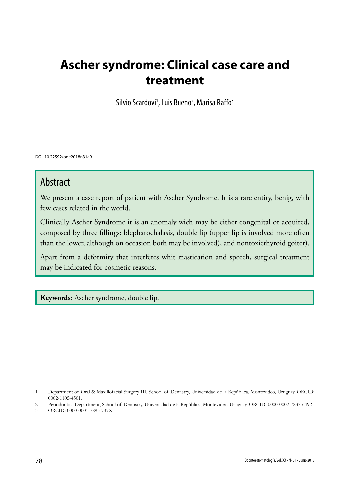# **Ascher syndrome: Clinical case care and treatment**

Silvio Scardovi<sup>1</sup>, Luis Bueno<sup>2</sup>, Marisa Raffo<sup>3</sup>

DOI: 10.22592/ode2018n31a9

## Abstract

We present a case report of patient with Ascher Syndrome. It is a rare entity, benig, with few cases related in the world.

Clinically Ascher Syndrome it is an anomaly wich may be either congenital or acquired, composed by three fillings: blepharochalasis, double lip (upper lip is involved more often than the lower, although on occasion both may be involved), and nontoxicthyroid goiter).

Apart from a deformity that interferes whit mastication and speech, surgical treatment may be indicated for cosmetic reasons.

**Keywords**: Ascher syndrome, double lip.

<sup>1</sup> Department of Oral & Maxillofacial Surgery III, School of Dentistry, Universidad de la República, Montevideo, Uruguay. ORCID: 0002-1105-4501.

<sup>2</sup> Periodontics Department, School of Dentistry, Universidad de la República, Montevideo, Uruguay. ORCID: 0000-0002-7837-6492

<sup>3</sup> ORCID: 0000-0001-7895-737X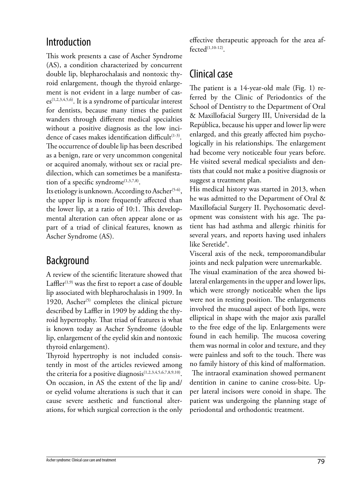### Introduction

This work presents a case of Ascher Syndrome (AS), a condition characterized by concurrent double lip, blepharochalasis and nontoxic thyroid enlargement, though the thyroid enlargement is not evident in a large number of cas $es^{(1,2,3,4,5,6)}$ . It is a syndrome of particular interest for dentists, because many times the patient wanders through different medical specialties without a positive diagnosis as the low incidence of cases makes identification difficult<sup>(1-3)</sup>. The occurrence of double lip has been described as a benign, rare or very uncommon congenital or acquired anomaly, without sex or racial predilection, which can sometimes be a manifestation of a specific syndrome<sup>(1,3,7,8)</sup>.

Its etiology is unknown. According to Ascher<sup> $(5-6)$ </sup>, the upper lip is more frequently affected than the lower lip, at a ratio of 10:1. This developmental alteration can often appear alone or as part of a triad of clinical features, known as Ascher Syndrome (AS).

### Background

A review of the scientific literature showed that Laffler $(1,9)$  was the first to report a case of double lip associated with blepharochalasis in 1909. In 1920, Ascher<sup> $(5)$ </sup> completes the clinical picture described by Laffler in 1909 by adding the thyroid hypertrophy. That triad of features is what is known today as Ascher Syndrome (double lip, enlargement of the eyelid skin and nontoxic thyroid enlargement).

Thyroid hypertrophy is not included consistently in most of the articles reviewed among the criteria for a positive diagnosis<sup>(1,2,3,4,5,6,7,8,9,10)</sup>. On occasion, in AS the extent of the lip and/ or eyelid volume alterations is such that it can cause severe aesthetic and functional alterations, for which surgical correction is the only effective therapeutic approach for the area af $fected^{(1,10-12)}$ .

### Clinical case

The patient is a 14-year-old male (Fig. 1) referred by the Clinic of Periodontics of the School of Dentistry to the Department of Oral & Maxillofacial Surgery III, Universidad de la República, because his upper and lower lip were enlarged, and this greatly affected him psychologically in his relationships. The enlargement had become very noticeable four years before. He visited several medical specialists and dentists that could not make a positive diagnosis or suggest a treatment plan.

His medical history was started in 2013, when he was admitted to the Department of Oral & Maxillofacial Surgery II. Psychosomatic development was consistent with his age. The patient has had asthma and allergic rhinitis for several years, and reports having used inhalers like Seretide®.

Visceral axis of the neck, temporomandibular joints and neck palpation were unremarkable.

The visual examination of the area showed bilateral enlargements in the upper and lower lips, which were strongly noticeable when the lips were not in resting position. The enlargements involved the mucosal aspect of both lips, were elliptical in shape with the major axis parallel to the free edge of the lip. Enlargements were found in each hemilip. The mucosa covering them was normal in color and texture, and they were painless and soft to the touch. There was no family history of this kind of malformation. The intraoral examination showed permanent dentition in canine to canine cross-bite. Upper lateral incisors were conoid in shape. The patient was undergoing the planning stage of periodontal and orthodontic treatment.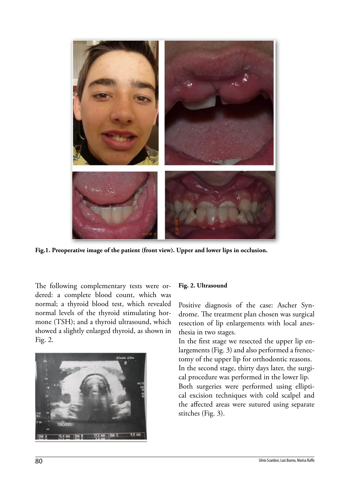

**Fig.1. Preoperative image of the patient (front view). Upper and lower lips in occlusion.** 

The following complementary tests were ordered: a complete blood count, which was normal; a thyroid blood test, which revealed normal levels of the thyroid stimulating hormone (TSH); and a thyroid ultrasound, which showed a slightly enlarged thyroid, as shown in Fig. 2.



#### **Fig. 2. Ultrasound**

Positive diagnosis of the case: Ascher Syndrome. The treatment plan chosen was surgical resection of lip enlargements with local anesthesia in two stages.

In the first stage we resected the upper lip enlargements (Fig. 3) and also performed a frenectomy of the upper lip for orthodontic reasons. In the second stage, thirty days later, the surgical procedure was performed in the lower lip. Both surgeries were performed using elliptical excision techniques with cold scalpel and the affected areas were sutured using separate stitches (Fig. 3).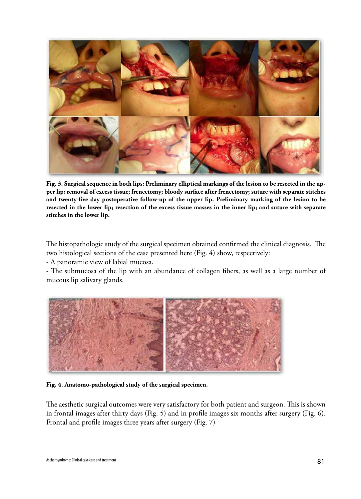

**Fig. 3. Surgical sequence in both lips: Preliminary elliptical markings of the lesion to be resected in the upper lip; removal of excess tissue; frenectomy; bloody surface after frenectomy; suture with separate stitches and twenty-five day postoperative follow-up of the upper lip. Preliminary marking of the lesion to be resected in the lower lip; resection of the excess tissue masses in the inner lip; and suture with separate stitches in the lower lip.**

The histopathologic study of the surgical specimen obtained confirmed the clinical diagnosis. The two histological sections of the case presented here (Fig. 4) show, respectively:

- A panoramic view of labial mucosa.

- The submucosa of the lip with an abundance of collagen fibers, as well as a large number of mucous lip salivary glands.



**Fig. 4. Anatomo-pathological study of the surgical specimen.**

The aesthetic surgical outcomes were very satisfactory for both patient and surgeon. This is shown in frontal images after thirty days (Fig. 5) and in profile images six months after surgery (Fig. 6). Frontal and profile images three years after surgery (Fig. 7)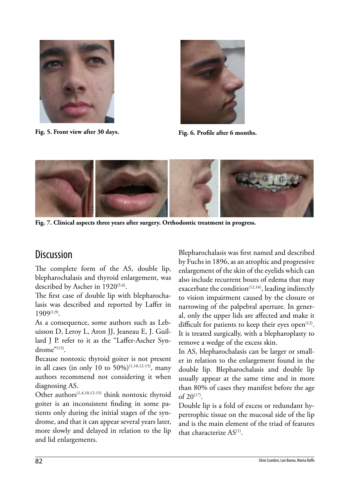

**Fig. 5. Front view after 30 days.**



**Fig. 6. Profile after 6 months.**



**Fig. 7. Clinical aspects three years after surgery. Orthodontic treatment in progress.**

# **Discussion**

The complete form of the AS, double lip, blepharochalasis and thyroid enlargement, was described by Ascher in 1920<sup>(5,6)</sup>.

The first case of double lip with blepharochalasis was described and reported by Laffer in 1909(1,9).

As a consequence, some authors such as Lebuisson D, Leroy L, Aron JJ, Jeaneau E, J. Guillard J P. refer to it as the "Laffer-Ascher Syndrome" $^{(13)}$ .

Because nontoxic thyroid goiter is not present in all cases (in only 10 to 50%)<sup>(1,10,12-15)</sup>, many authors recommend not considering it when diagnosing AS.

Other authors<sup>(1,4,10,12-15)</sup> think nontoxic thyroid goiter is an inconsistent finding in some patients only during the initial stages of the syndrome, and that it can appear several years later, more slowly and delayed in relation to the lip and lid enlargements.

Blepharochalasis was first named and described by Fuchs in 1896, as an atrophic and progressive enlargement of the skin of the eyelids which can also include recurrent bouts of edema that may exacerbate the condition<sup>(12,16)</sup>, leading indirectly to vision impairment caused by the closure or narrowing of the palpebral aperture. In general, only the upper lids are affected and make it difficult for patients to keep their eyes open $(12)$ . It is treated surgically, with a blepharoplasty to remove a wedge of the excess skin.

In AS, blepharochalasis can be larger or smaller in relation to the enlargement found in the double lip. Blepharochalasis and double lip usually appear at the same time and in more than 80% of cases they manifest before the age of  $20^{(17)}$ .

Double lip is a fold of excess or redundant hypertrophic tissue on the mucosal side of the lip and is the main element of the triad of features that characterize AS(1).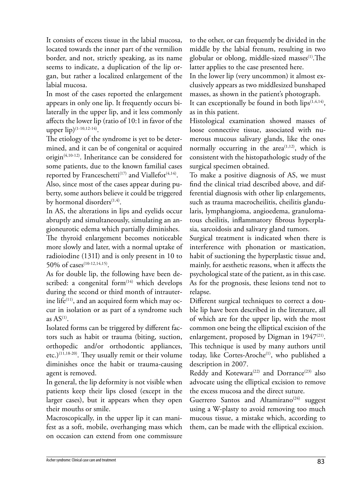It consists of excess tissue in the labial mucosa, located towards the inner part of the vermilion border, and not, strictly speaking, as its name seems to indicate, a duplication of the lip organ, but rather a localized enlargement of the labial mucosa.

In most of the cases reported the enlargement appears in only one lip. It frequently occurs bilaterally in the upper lip, and it less commonly affects the lower lip (ratio of 10:1 in favor of the upper lip)<sup>(1-10,12-14)</sup>.

The etiology of the syndrome is yet to be determined, and it can be of congenital or acquired origin(4,10-12). Inheritance can be considered for some patients, due to the known familial cases reported by Franceschetti<sup>(17)</sup> and Viallefot<sup> $(4,14)$ </sup>.

Also, since most of the cases appear during puberty, some authors believe it could be triggered by hormonal disorders $(1,4)$ .

In AS, the alterations in lips and eyelids occur abruptly and simultaneously, simulating an angioneurotic edema which partially diminishes.

The thyroid enlargement becomes noticeable more slowly and later, with a normal uptake of radioiodine (131I) and is only present in 10 to 50% of cases<sup>(10-12,14,15)</sup>.

As for double lip, the following have been described: a congenital form $(14)$  which develops during the second or third month of intrauterine life $(11)$ , and an acquired form which may occur in isolation or as part of a syndrome such as  $AS<sup>(1)</sup>$ .

Isolated forms can be triggered by different factors such as habit or trauma (biting, suction, orthopedic and/or orthodontic appliances, etc.)(11,18-20). They usually remit or their volume diminishes once the habit or trauma-causing agent is removed.

In general, the lip deformity is not visible when patients keep their lips closed (except in the larger cases), but it appears when they open their mouths or smile.

Macroscopically, in the upper lip it can manifest as a soft, mobile, overhanging mass which on occasion can extend from one commissure

to the other, or can frequently be divided in the middle by the labial frenum, resulting in two globular or oblong, middle-sized masses $(1)$ . The latter applies to the case presented here.

In the lower lip (very uncommon) it almost exclusively appears as two middlesized bunshaped masses, as shown in the patient's photograph.

It can exceptionally be found in both  $lips^{(1,4,14)}$ , as in this patient.

Histological examination showed masses of loose connective tissue, associated with numerous mucous salivary glands, like the ones normally occurring in the area<sup> $(1,12)$ </sup>, which is consistent with the histopathologic study of the surgical specimen obtained.

To make a positive diagnosis of AS, we must find the clinical triad described above, and differential diagnosis with other lip enlargements, such as trauma macrocheilitis, cheilitis glandularis, lymphangioma, angioedema, granulomatous cheilitis, inflammatory fibrous hyperplasia, sarcoidosis and salivary gland tumors.

Surgical treatment is indicated when there is interference with phonation or mastication, habit of suctioning the hyperplastic tissue and, mainly, for aesthetic reasons, when it affects the psychological state of the patient, as in this case. As for the prognosis, these lesions tend not to relapse.

Different surgical techniques to correct a double lip have been described in the literature, all of which are for the upper lip, with the most common one being the elliptical excision of the enlargement, proposed by Digman in  $1947^{(21)}$ . This technique is used by many authors until today, like Cortes-Aroche<sup>(1)</sup>, who published a description in 2007.

Reddy and Kotewara<sup>(22)</sup> and Dorrance<sup>(23)</sup> also advocate using the elliptical excision to remove the excess mucosa and the direct suture.

Guerrero Santos and Altamirano<sup>(24)</sup> suggest using a W-plasty to avoid removing too much mucous tissue, a mistake which, according to them, can be made with the elliptical excision.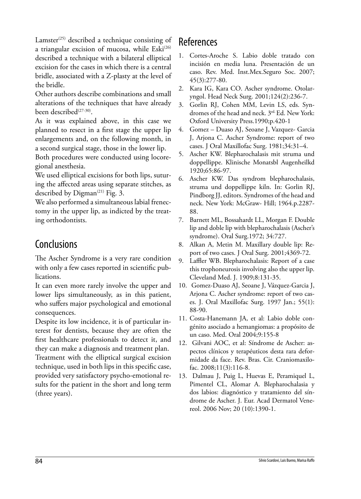Lamster<sup> $(25)$ </sup> described a technique consisting of a triangular excision of mucosa, while Eski<sup>(26)</sup> described a technique with a bilateral elliptical excision for the cases in which there is a central bridle, associated with a Z-plasty at the level of the bridle.

Other authors describe combinations and small alterations of the techniques that have already been described<sup>(27-30)</sup>.

As it was explained above, in this case we planned to resect in a first stage the upper lip enlargements and, on the following month, in a second surgical stage, those in the lower lip.

Both procedures were conducted using locoregional anesthesia.

We used elliptical excisions for both lips, suturing the affected areas using separate stitches, as described by Digman<sup>(21)</sup> Fig. 3.

We also performed a simultaneous labial frenectomy in the upper lip, as indicted by the treating orthodontists.

# **Conclusions**

The Ascher Syndrome is a very rare condition with only a few cases reported in scientific publications.

It can even more rarely involve the upper and lower lips simultaneously, as in this patient, who suffers major psychological and emotional consequences.

Despite its low incidence, it is of particular interest for dentists, because they are often the first healthcare professionals to detect it, and they can make a diagnosis and treatment plan.

Treatment with the elliptical surgical excision technique, used in both lips in this specific case, provided very satisfactory psycho-emotional results for the patient in the short and long term (three years).

# **References**

- 1. Cortes-Aroche S. Labio doble tratado con incisión en media luna. Presentación de un caso. Rev. Med. Inst.Mex.Seguro Soc. 2007; 45(3):277-80.
- 2. Kara IG, Kara CO. Ascher syndrome. Otolaryngol. Head Neck Surg. 2001;124(2):236-7.
- 3. Gorlin RJ, Cohen MM, Levin LS, eds. Syndromes of the head and neck. 3<sup>rd.</sup> Ed. New York: Oxford University Press.1990;p.420-1
- 4. Gomez Duaso AJ, Seoane J, Vazquez- Garcia J, Arjona C. Ascher Syndrome: report of two cases. J Oral Maxillofac Surg. 1981;34:31–4.
- 5. Ascher KW. Blepharochalasis mit struma und doppellippe. Klinische Monatsbl Augenheilkd 1920;65:86-97.
- 6. Ascher KW. Das syndrom blepharochalasis, struma und doppellippe kiln. In: Gorlin RJ, Pindborg JJ, editors. Syndromes of the head and neck. New York: McGraw- Hill; 1964.p.2287- 88.
- 7. Barnett ML, Bossahardt LL, Morgan F. Double lip and doble lip with blepharochalasis (Ascher's syndrome). Oral Surg.1972; 34:727.
- 8. Alkan A, Metin M. Maxillary double lip: Report of two cases. J Oral Surg. 2001;4369-72.
- 9. Laffler WB. Blepharochalasis: Report of a case this trophoneurosis involving also the upper lip. Cleveland Med. J. 1909;8:131-35.
- 10. Gomez-Duaso AJ, Seoane J, Vázquez-Garcia J, Arjona C. Ascher syndrome: report of two cases. J. Oral Maxillofac Surg. 1997 Jan.; 55(1): 88-90.
- 11. Costa-Hanemann JA, et al: Labio doble congénito asociado a hemangiomas: a propósito de un caso. Med. Oral 2004;9:155-8
- 12. Gilvani AOC, et al: Síndrome de Ascher: aspectos clínicos y terapéuticos desta rara deformidade da face. Rev. Bras. Cir. Craniomaxilofac. 2008;11(3):116-8.
- 13. Dalmau J, Puig L, Huevas E, Peramiquel L, Pimentel CL, Alomar A. Blepharochalasia y dos labios: diagnóstico y tratamiento del síndrome de Ascher. J. Eur. Acad Dermatol Venereol. 2006 Nov; 20 (10):1390-1.